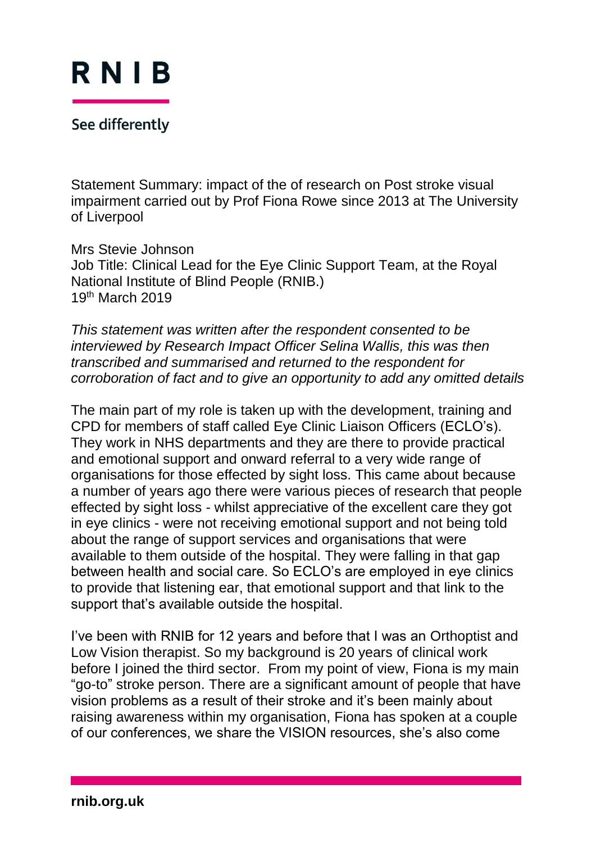

See differently

Statement Summary: impact of the of research on Post stroke visual impairment carried out by Prof Fiona Rowe since 2013 at The University of Liverpool

Mrs Stevie Johnson Job Title: Clinical Lead for the Eye Clinic Support Team, at the Royal National Institute of Blind People (RNIB.) 19th March 2019

*This statement was written after the respondent consented to be interviewed by Research Impact Officer Selina Wallis, this was then transcribed and summarised and returned to the respondent for corroboration of fact and to give an opportunity to add any omitted details*

The main part of my role is taken up with the development, training and CPD for members of staff called Eye Clinic Liaison Officers (ECLO's). They work in NHS departments and they are there to provide practical and emotional support and onward referral to a very wide range of organisations for those effected by sight loss. This came about because a number of years ago there were various pieces of research that people effected by sight loss - whilst appreciative of the excellent care they got in eye clinics - were not receiving emotional support and not being told about the range of support services and organisations that were available to them outside of the hospital. They were falling in that gap between health and social care. So ECLO's are employed in eye clinics to provide that listening ear, that emotional support and that link to the support that's available outside the hospital.

I've been with RNIB for 12 years and before that I was an Orthoptist and Low Vision therapist. So my background is 20 years of clinical work before I joined the third sector. From my point of view, Fiona is my main "go-to" stroke person. There are a significant amount of people that have vision problems as a result of their stroke and it's been mainly about raising awareness within my organisation, Fiona has spoken at a couple of our conferences, we share the VISION resources, she's also come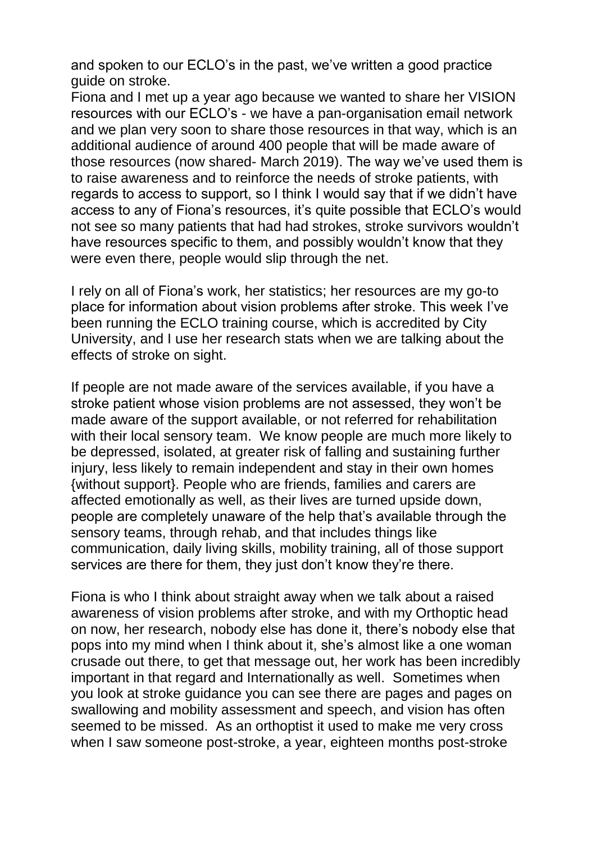and spoken to our ECLO's in the past, we've written a good practice guide on stroke.

Fiona and I met up a year ago because we wanted to share her VISION resources with our ECLO's - we have a pan-organisation email network and we plan very soon to share those resources in that way, which is an additional audience of around 400 people that will be made aware of those resources (now shared- March 2019). The way we've used them is to raise awareness and to reinforce the needs of stroke patients, with regards to access to support, so I think I would say that if we didn't have access to any of Fiona's resources, it's quite possible that ECLO's would not see so many patients that had had strokes, stroke survivors wouldn't have resources specific to them, and possibly wouldn't know that they were even there, people would slip through the net.

I rely on all of Fiona's work, her statistics; her resources are my go-to place for information about vision problems after stroke. This week I've been running the ECLO training course, which is accredited by City University, and I use her research stats when we are talking about the effects of stroke on sight.

If people are not made aware of the services available, if you have a stroke patient whose vision problems are not assessed, they won't be made aware of the support available, or not referred for rehabilitation with their local sensory team. We know people are much more likely to be depressed, isolated, at greater risk of falling and sustaining further injury, less likely to remain independent and stay in their own homes {without support}. People who are friends, families and carers are affected emotionally as well, as their lives are turned upside down, people are completely unaware of the help that's available through the sensory teams, through rehab, and that includes things like communication, daily living skills, mobility training, all of those support services are there for them, they just don't know they're there.

Fiona is who I think about straight away when we talk about a raised awareness of vision problems after stroke, and with my Orthoptic head on now, her research, nobody else has done it, there's nobody else that pops into my mind when I think about it, she's almost like a one woman crusade out there, to get that message out, her work has been incredibly important in that regard and Internationally as well. Sometimes when you look at stroke guidance you can see there are pages and pages on swallowing and mobility assessment and speech, and vision has often seemed to be missed. As an orthoptist it used to make me very cross when I saw someone post-stroke, a year, eighteen months post-stroke